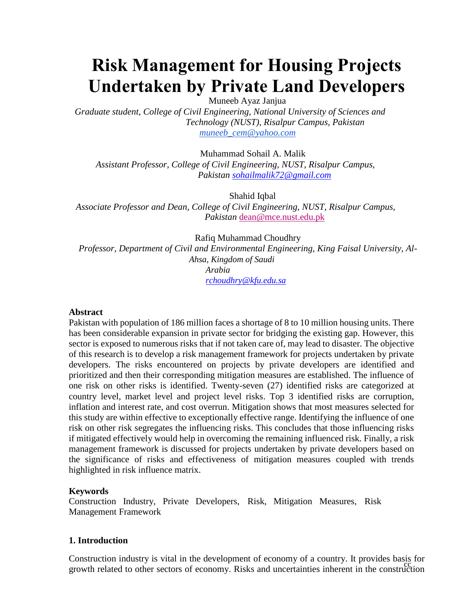# **Risk Management for Housing Projects Undertaken by Private Land Developers**

Muneeb Ayaz Janjua

*Graduate student, College of Civil Engineering, National University of Sciences and Technology (NUST), Risalpur Campus, Pakistan [muneeb\\_cem@yahoo.com](mailto:muneeb_cem@yahoo.com)*

Muhammad Sohail A. Malik

*Assistant Professor, College of Civil Engineering, NUST, Risalpur Campus, Pakistan [sohailmalik72@gmail.com](mailto:sohailmalik72@gmail.com)*

Shahid Iqbal

*Associate Professor and Dean, College of Civil Engineering, NUST, Risalpur Campus, Pakistan* [dean@mce.nust.edu.pk](mailto:dean@mce.nust.edu.pk)

Rafiq Muhammad Choudhry

*Professor, Department of Civil and Environmental Engineering, King Faisal University, Al-Ahsa, Kingdom of Saudi Arabia [rchoudhry@kfu.edu.sa](mailto:rchoudhry@kfu.edu.sa)*

#### **Abstract**

Pakistan with population of 186 million faces a shortage of 8 to 10 million housing units. There has been considerable expansion in private sector for bridging the existing gap. However, this sector is exposed to numerous risks that if not taken care of, may lead to disaster. The objective of this research is to develop a risk management framework for projects undertaken by private developers. The risks encountered on projects by private developers are identified and prioritized and then their corresponding mitigation measures are established. The influence of one risk on other risks is identified. Twenty-seven (27) identified risks are categorized at country level, market level and project level risks. Top 3 identified risks are corruption, inflation and interest rate, and cost overrun. Mitigation shows that most measures selected for this study are within effective to exceptionally effective range. Identifying the influence of one risk on other risk segregates the influencing risks. This concludes that those influencing risks if mitigated effectively would help in overcoming the remaining influenced risk. Finally, a risk management framework is discussed for projects undertaken by private developers based on the significance of risks and effectiveness of mitigation measures coupled with trends highlighted in risk influence matrix.

## **Keywords**

Construction Industry, Private Developers, Risk, Mitigation Measures, Risk Management Framework

## **1. Introduction**

cc growth related to other sectors of economy. Risks and uncertainties inherent in the construction Construction industry is vital in the development of economy of a country. It provides basis for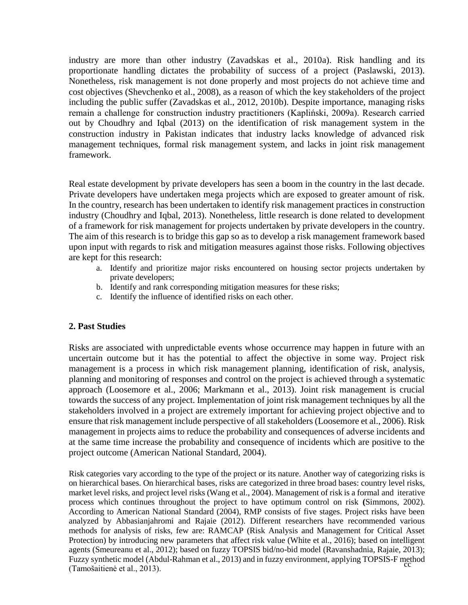industry are more than other industry (Zavadskas et al., 2010a). Risk handling and its proportionate handling dictates the probability of success of a project (Paslawski, 2013). Nonetheless, risk management is not done properly and most projects do not achieve time and cost objectives (Shevchenko et al., 2008), as a reason of which the key stakeholders of the project including the public suffer (Zavadskas et al., 2012, 2010b). Despite importance, managing risks remain a challenge for construction industry practitioners (Kapliński, 2009a). Research carried out by Choudhry and Iqbal (2013) on the identification of risk management system in the construction industry in Pakistan indicates that industry lacks knowledge of advanced risk management techniques, formal risk management system, and lacks in joint risk management framework.

Real estate development by private developers has seen a boom in the country in the last decade. Private developers have undertaken mega projects which are exposed to greater amount of risk. In the country, research has been undertaken to identify risk management practices in construction industry (Choudhry and Iqbal, 2013). Nonetheless, little research is done related to development of a framework for risk management for projects undertaken by private developers in the country. The aim of this research is to bridge this gap so as to develop a risk management framework based upon input with regards to risk and mitigation measures against those risks. Following objectives are kept for this research:

- a. Identify and prioritize major risks encountered on housing sector projects undertaken by private developers;
- b. Identify and rank corresponding mitigation measures for these risks;
- c. Identify the influence of identified risks on each other.

## **2. Past Studies**

Risks are associated with unpredictable events whose occurrence may happen in future with an uncertain outcome but it has the potential to affect the objective in some way. Project risk management is a process in which risk management planning, identification of risk, analysis, planning and monitoring of responses and control on the project is achieved through a systematic approach (Loosemore et al., 2006; Markmann et al., 2013). Joint risk management is crucial towards the success of any project. Implementation of joint risk management techniques by all the stakeholders involved in a project are extremely important for achieving project objective and to ensure that risk management include perspective of all stakeholders (Loosemore et al., 2006). Risk management in projects aims to reduce the probability and consequences of adverse incidents and at the same time increase the probability and consequence of incidents which are positive to the project outcome (American National Standard, 2004).

Fuzzy synthetic model (Abdul-Rahman et al., 2013) and in fuzzy environment, applying TOPSIS-F method<br>Temočnitiona et al. 2012) Risk categories vary according to the type of the project or its nature. Another way of categorizing risks is on hierarchical bases. On hierarchical bases, risks are categorized in three broad bases: country level risks, market level risks, and project level risks (Wang et al., 2004). Management of risk is a formal and iterative process which continues throughout the project to have optimum control on risk **(**Simmons, 2002). According to American National Standard (2004), RMP consists of five stages. Project risks have been analyzed by Abbasianjahromi and Rajaie (2012). Different researchers have recommended various methods for analysis of risks, few are: RAMCAP (Risk Analysis and Management for Critical Asset Protection) by introducing new parameters that affect risk value (White et al., 2016); based on intelligent agents (Smeureanu et al., 2012); based on fuzzy TOPSIS bid/no-bid model (Ravanshadnia, Rajaie, 2013); (Tamošaitienė et al., 2013).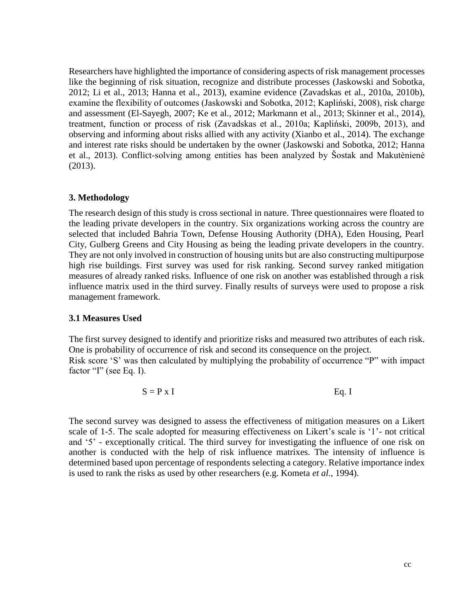Researchers have highlighted the importance of considering aspects of risk management processes like the beginning of risk situation, recognize and distribute processes (Jaskowski and Sobotka, 2012; Li et al., 2013; Hanna et al., 2013), examine evidence (Zavadskas et al., 2010a, 2010b), examine the flexibility of outcomes (Jaskowski and Sobotka, 2012; Kapliński, 2008), risk charge and assessment (El-Sayegh, 2007; Ke et al., 2012; Markmann et al., 2013; Skinner et al., 2014), treatment, function or process of risk (Zavadskas et al., 2010a; Kapliński, 2009b, 2013), and observing and informing about risks allied with any activity (Xianbo et al., 2014). The exchange and interest rate risks should be undertaken by the owner (Jaskowski and Sobotka, 2012; Hanna et al., 2013). Conflict-solving among entities has been analyzed by Šostak and Makutėnienė (2013).

## **3. Methodology**

The research design of this study is cross sectional in nature. Three questionnaires were floated to the leading private developers in the country. Six organizations working across the country are selected that included Bahria Town, Defense Housing Authority (DHA), Eden Housing, Pearl City, Gulberg Greens and City Housing as being the leading private developers in the country. They are not only involved in construction of housing units but are also constructing multipurpose high rise buildings. First survey was used for risk ranking. Second survey ranked mitigation measures of already ranked risks. Influence of one risk on another was established through a risk influence matrix used in the third survey. Finally results of surveys were used to propose a risk management framework.

#### **3.1 Measures Used**

The first survey designed to identify and prioritize risks and measured two attributes of each risk. One is probability of occurrence of risk and second its consequence on the project. Risk score 'S' was then calculated by multiplying the probability of occurrence "P" with impact factor "I" (see Eq. I).

 $S = P \times I$  Eq. I

The second survey was designed to assess the effectiveness of mitigation measures on a Likert scale of 1-5. The scale adopted for measuring effectiveness on Likert's scale is '1'- not critical and '5' - exceptionally critical. The third survey for investigating the influence of one risk on another is conducted with the help of risk influence matrixes. The intensity of influence is determined based upon percentage of respondents selecting a category. Relative importance index is used to rank the risks as used by other researchers (e.g. Kometa *et al*., 1994).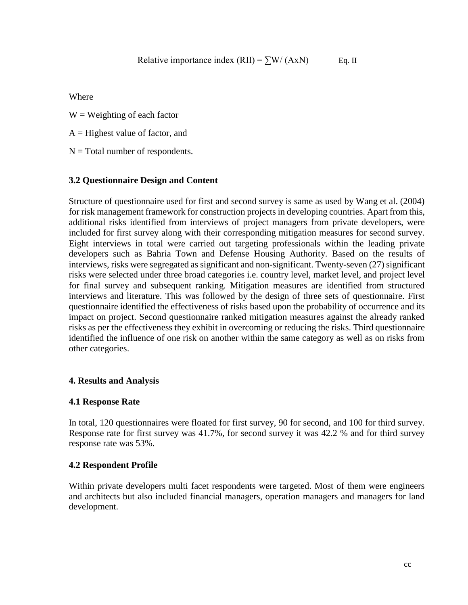Where

 $W = Weighting of each factor$ 

- $A =$  Highest value of factor, and
- $N = Total number of respondents.$

## **3.2 Questionnaire Design and Content**

Structure of questionnaire used for first and second survey is same as used by Wang et al. (2004) for risk management framework for construction projects in developing countries. Apart from this, additional risks identified from interviews of project managers from private developers, were included for first survey along with their corresponding mitigation measures for second survey. Eight interviews in total were carried out targeting professionals within the leading private developers such as Bahria Town and Defense Housing Authority. Based on the results of interviews, risks were segregated as significant and non-significant. Twenty-seven (27) significant risks were selected under three broad categories i.e. country level, market level, and project level for final survey and subsequent ranking. Mitigation measures are identified from structured interviews and literature. This was followed by the design of three sets of questionnaire. First questionnaire identified the effectiveness of risks based upon the probability of occurrence and its impact on project. Second questionnaire ranked mitigation measures against the already ranked risks as per the effectiveness they exhibit in overcoming or reducing the risks. Third questionnaire identified the influence of one risk on another within the same category as well as on risks from other categories.

## **4. Results and Analysis**

## **4.1 Response Rate**

In total, 120 questionnaires were floated for first survey, 90 for second, and 100 for third survey. Response rate for first survey was 41.7%, for second survey it was 42.2 % and for third survey response rate was 53%.

## **4.2 Respondent Profile**

Within private developers multi facet respondents were targeted. Most of them were engineers and architects but also included financial managers, operation managers and managers for land development.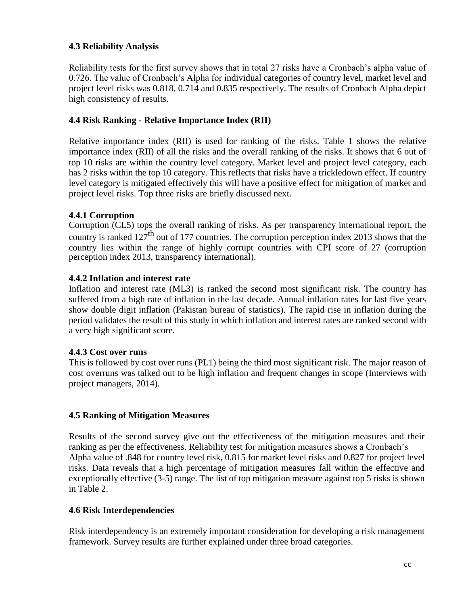# **4.3 Reliability Analysis**

Reliability tests for the first survey shows that in total 27 risks have a Cronbach's alpha value of 0.726. The value of Cronbach's Alpha for individual categories of country level, market level and project level risks was 0.818, 0.714 and 0.835 respectively. The results of Cronbach Alpha depict high consistency of results.

# **4.4 Risk Ranking - Relative Importance Index (RII)**

Relative importance index (RII) is used for ranking of the risks. Table 1 shows the relative importance index (RII) of all the risks and the overall ranking of the risks. It shows that 6 out of top 10 risks are within the country level category. Market level and project level category, each has 2 risks within the top 10 category. This reflects that risks have a trickledown effect. If country level category is mitigated effectively this will have a positive effect for mitigation of market and project level risks. Top three risks are briefly discussed next.

# **4.4.1 Corruption**

Corruption (CL5) tops the overall ranking of risks. As per transparency international report, the country is ranked 127<sup>th</sup> out of 177 countries. The corruption perception index 2013 shows that the country lies within the range of highly corrupt countries with CPI score of 27 (corruption perception index 2013, transparency international).

# **4.4.2 Inflation and interest rate**

Inflation and interest rate (ML3) is ranked the second most significant risk. The country has suffered from a high rate of inflation in the last decade. Annual inflation rates for last five years show double digit inflation (Pakistan bureau of statistics). The rapid rise in inflation during the period validates the result of this study in which inflation and interest rates are ranked second with a very high significant score.

## **4.4.3 Cost over runs**

This is followed by cost over runs (PL1) being the third most significant risk. The major reason of cost overruns was talked out to be high inflation and frequent changes in scope (Interviews with project managers, 2014).

## **4.5 Ranking of Mitigation Measures**

Results of the second survey give out the effectiveness of the mitigation measures and their ranking as per the effectiveness. Reliability test for mitigation measures shows a Cronbach's Alpha value of .848 for country level risk, 0.815 for market level risks and 0.827 for project level risks. Data reveals that a high percentage of mitigation measures fall within the effective and exceptionally effective (3-5) range. The list of top mitigation measure against top 5 risks is shown in Table 2.

## **4.6 Risk Interdependencies**

Risk interdependency is an extremely important consideration for developing a risk management framework. Survey results are further explained under three broad categories.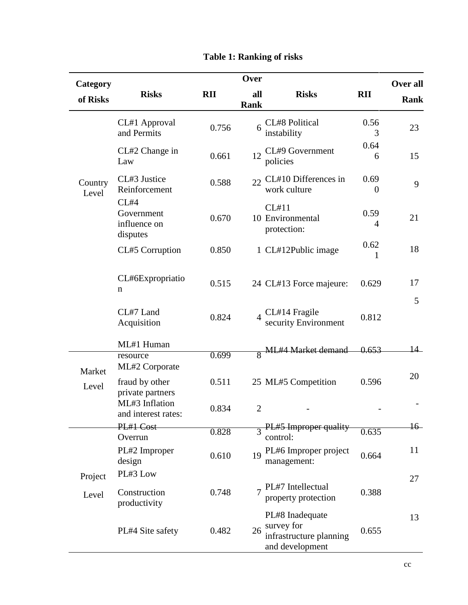| Category         | Over                                           |            |                    |                                                                             |                  | Over all    |
|------------------|------------------------------------------------|------------|--------------------|-----------------------------------------------------------------------------|------------------|-------------|
| of Risks         | <b>Risks</b>                                   | <b>RII</b> | all<br><b>Rank</b> | <b>Risks</b>                                                                | <b>RII</b>       | <b>Rank</b> |
|                  | CL#1 Approval<br>and Permits                   | 0.756      | 6                  | CL#8 Political<br>instability                                               | 0.56<br>3        | 23          |
| Country<br>Level | CL#2 Change in<br>Law                          | 0.661      | 12                 | CL#9 Government<br>policies                                                 | 0.64<br>6        | 15          |
|                  | CL#3 Justice<br>Reinforcement                  | 0.588      | 22                 | CL#10 Differences in<br>work culture                                        | 0.69<br>$\theta$ | 9           |
|                  | CL#4<br>Government<br>influence on<br>disputes | 0.670      |                    | CL#11<br>10 Environmental<br>protection:                                    | 0.59<br>4        | 21          |
|                  | CL#5 Corruption                                | 0.850      |                    | 1 CL#12Public image                                                         | 0.62<br>1        | 18          |
|                  | CL#6Expropriatio<br>n                          | 0.515      |                    | 24 CL#13 Force majeure:                                                     | 0.629            | 17          |
|                  | CL#7 Land<br>Acquisition                       | 0.824      |                    | CL#14 Fragile<br>security Environment                                       | 0.812            | 5           |
|                  | ML#1 Human                                     |            |                    | 8 ML#4 Market demand                                                        | 0.653            | $14-$       |
| Market<br>Level  | resource<br>ML#2 Corporate                     | 0.699      |                    |                                                                             |                  | 20          |
|                  | fraud by other<br>private partners             | 0.511      |                    | 25 ML#5 Competition                                                         | 0.596            |             |
|                  | ML#3 Inflation<br>and interest rates:          | 0.834      | $\overline{2}$     |                                                                             |                  |             |
|                  | PL#1 Cost<br>Overrun                           | 0.828      |                    | PL#5 Improper quality<br>control:                                           | 0.635            | $16-$       |
|                  | PL#2 Improper<br>design                        | 0.610      | 19                 | PL#6 Improper project<br>management:                                        | 0.664            | 11          |
| Project          | PL#3 Low                                       |            |                    |                                                                             |                  | 27          |
| Level            | Construction<br>productivity                   | 0.748      |                    | PL#7 Intellectual<br>property protection                                    | 0.388            |             |
|                  | PL#4 Site safety                               | 0.482      | 26                 | PL#8 Inadequate<br>survey for<br>infrastructure planning<br>and development | 0.655            | 13          |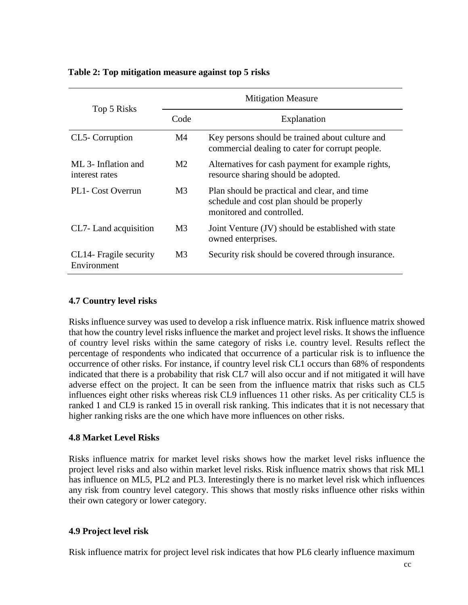## **Table 2: Top mitigation measure against top 5 risks**

| Top 5 Risks                           | <b>Mitigation Measure</b> |                                                                                                                        |  |  |
|---------------------------------------|---------------------------|------------------------------------------------------------------------------------------------------------------------|--|--|
|                                       | Code                      | Explanation                                                                                                            |  |  |
| CL5-Corruption                        | M4                        | Key persons should be trained about culture and<br>commercial dealing to cater for corrupt people.                     |  |  |
| ML 3- Inflation and<br>interest rates | M <sub>2</sub>            | Alternatives for cash payment for example rights,<br>resource sharing should be adopted.                               |  |  |
| PL1- Cost Overrun                     | M <sub>3</sub>            | Plan should be practical and clear, and time<br>schedule and cost plan should be properly<br>monitored and controlled. |  |  |
| CL7- Land acquisition                 | M <sub>3</sub>            | Joint Venture (JV) should be established with state<br>owned enterprises.                                              |  |  |
| CL14- Fragile security<br>Environment | M3                        | Security risk should be covered through insurance.                                                                     |  |  |

## **4.7 Country level risks**

Risks influence survey was used to develop a risk influence matrix. Risk influence matrix showed that how the country level risks influence the market and project level risks. It shows the influence of country level risks within the same category of risks i.e. country level. Results reflect the percentage of respondents who indicated that occurrence of a particular risk is to influence the occurrence of other risks. For instance, if country level risk CL1 occurs than 68% of respondents indicated that there is a probability that risk CL7 will also occur and if not mitigated it will have adverse effect on the project. It can be seen from the influence matrix that risks such as CL5 influences eight other risks whereas risk CL9 influences 11 other risks. As per criticality CL5 is ranked 1 and CL9 is ranked 15 in overall risk ranking. This indicates that it is not necessary that higher ranking risks are the one which have more influences on other risks.

## **4.8 Market Level Risks**

Risks influence matrix for market level risks shows how the market level risks influence the project level risks and also within market level risks. Risk influence matrix shows that risk ML1 has influence on ML5, PL2 and PL3. Interestingly there is no market level risk which influences any risk from country level category. This shows that mostly risks influence other risks within their own category or lower category.

## **4.9 Project level risk**

Risk influence matrix for project level risk indicates that how PL6 clearly influence maximum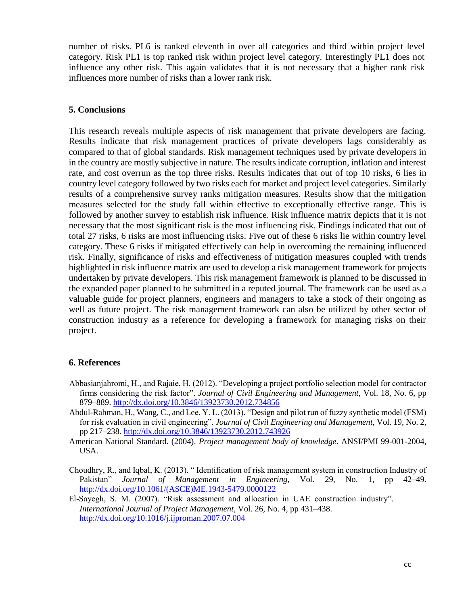number of risks. PL6 is ranked eleventh in over all categories and third within project level category. Risk PL1 is top ranked risk within project level category. Interestingly PL1 does not influence any other risk. This again validates that it is not necessary that a higher rank risk influences more number of risks than a lower rank risk.

#### **5. Conclusions**

This research reveals multiple aspects of risk management that private developers are facing. Results indicate that risk management practices of private developers lags considerably as compared to that of global standards. Risk management techniques used by private developers in in the country are mostly subjective in nature. The results indicate corruption, inflation and interest rate, and cost overrun as the top three risks. Results indicates that out of top 10 risks, 6 lies in country level category followed by two risks each for market and project level categories. Similarly results of a comprehensive survey ranks mitigation measures. Results show that the mitigation measures selected for the study fall within effective to exceptionally effective range. This is followed by another survey to establish risk influence. Risk influence matrix depicts that it is not necessary that the most significant risk is the most influencing risk. Findings indicated that out of total 27 risks, 6 risks are most influencing risks. Five out of these 6 risks lie within country level category. These 6 risks if mitigated effectively can help in overcoming the remaining influenced risk. Finally, significance of risks and effectiveness of mitigation measures coupled with trends highlighted in risk influence matrix are used to develop a risk management framework for projects undertaken by private developers. This risk management framework is planned to be discussed in the expanded paper planned to be submitted in a reputed journal. The framework can be used as a valuable guide for project planners, engineers and managers to take a stock of their ongoing as well as future project. The risk management framework can also be utilized by other sector of construction industry as a reference for developing a framework for managing risks on their project.

## **6. References**

- Abbasianjahromi, H., and Rajaie, H. (2012). "Developing a project portfolio selection model for contractor firms considering the risk factor". *Journal of Civil Engineering and Management,* Vol. 18, No. 6, pp 879–889.<http://dx.doi.org/10.3846/13923730.2012.734856>
- Abdul-Rahman, H., Wang, C., and Lee, Y. L. (2013). "Design and pilot run of fuzzy synthetic model (FSM) for risk evaluation in civil engineering". *Journal of Civil Engineering and Management,* Vol. 19, No. 2, pp 217–238. <http://dx.doi.org/10.3846/13923730.2012.743926>
- American National Standard. (2004). *Project management body of knowledge*. ANSI/PMI 99-001-2004, USA.
- Choudhry, R., and Iqbal, K. (2013). " Identification of risk management system in construction Industry of Pakistan" *Journal of Management in Engineering*, Vol. 29, No. 1, pp 42–49. [http://dx.doi.org/10.1061/\(ASCE\)ME.1943-5479.0000122](http://dx.doi.org/10.1061/(ASCE)ME.1943-5479.0000122)
- El-Sayegh, S. M. (2007). "Risk assessment and allocation in UAE construction industry". *International Journal of Project Management*, Vol. 26, No. 4, pp 431–438. <http://dx.doi.org/10.1016/j.ijproman.2007.07.004>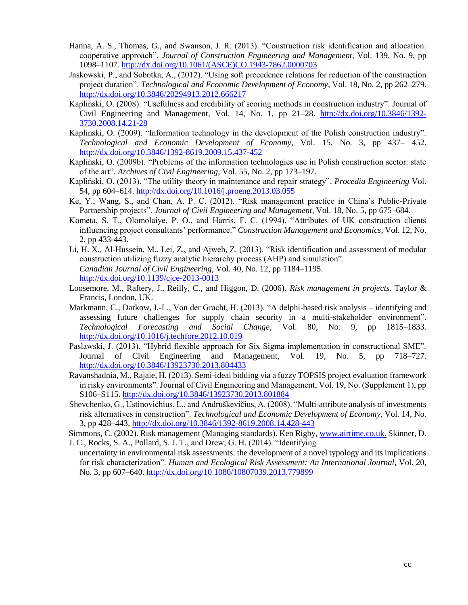- Hanna, A. S., Thomas, G., and Swanson, J. R. (2013). "Construction risk identification and allocation: cooperative approach". *Journal of Construction Engineering and Management*, Vol. 139, No. 9, pp 1098–1107. [http://dx.doi.org/10.1061/\(ASCE\)CO.1943-7862.0000703](http://dx.doi.org/10.1061/(ASCE)CO.1943-7862.0000703)
- Jaskowski, P., and Sobotka, A., (2012). "Using soft precedence relations for reduction of the construction project duration". *Technological and Economic Development of Economy*, Vol. 18, No. 2, pp 262–279. <http://dx.doi.org/10.3846/20294913.2012.666217>
- Kapliński, O. (2008). "Usefulness and credibility of scoring methods in construction industry". Journal of Civil Engineering and Management, Vol. 14, No. 1, pp 21-28. [http://dx.doi.org/10.3846/1392-](http://dx.doi.org/10.3846/1392-3730.2008.14.21-28) [3730.2008.14.21-28](http://dx.doi.org/10.3846/1392-3730.2008.14.21-28)
- Kaplinski, O. (2009). "Information technology in the development of the Polish construction industry". *Technological and Economic Development of Economy*, Vol. 15, No. 3, pp 437– 452. <http://dx.doi.org/10.3846/1392-8619.2009.15.437-452>
- Kapliński, O. (2009b). "Problems of the information technologies use in Polish construction sector: state of the art". *Archives of Civil Engineering*, Vol. 55, No. 2, pp 173–197.
- Kapliński, O. (2013). "The utility theory in maintenance and repair strategy". *Procedia Engineering* Vol. 54, pp 604–614. <http://dx.doi.org/10.1016/j.proeng.2013.03.055>
- Ke, Y., Wang, S., and Chan, A. P. C. (2012). "Risk management practice in China's Public-Private Partnership projects". *Journal of Civil Engineering and Management*, Vol. 18, No. 5, pp 675–684.
- Kometa, S. T., Olomolaiye, P. O., and Harris, F. C. (1994). "Attributes of UK construction clients influencing project consultants' performance." *Construction Management and Economics*, Vol. 12, No. 2, pp 433-443.
- Li, H. X., Al-Hussein, M., Lei, Z., and Ajweh, Z. (2013). "Risk identification and assessment of modular construction utilizing fuzzy analytic hierarchy process (AHP) and simulation". *Canadian Journal of Civil Engineering*, Vol. 40, No. 12, pp 1184–1195. <http://dx.doi.org/10.1139/cjce-2013-0013>
- Loosemore, M., Raftery, J., Reilly, C., and Higgon, D. (2006). *Risk management in projects*. Taylor & Francis, London, UK.
- Markmann, C., Darkow, I.-L., Von der Gracht, H. (2013). "A delphi-based risk analysis identifying and assessing future challenges for supply chain security in a multi-stakeholder environment". *Technological Forecasting and Social Change*, Vol. 80, No. 9, pp 1815–1833. <http://dx.doi.org/10.1016/j.techfore.2012.10.019>
- Paslawski, J. (2013). "Hybrid flexible approach for Six Sigma implementation in constructional SME". Journal of Civil Engineering and Management, Vol. 19, No. 5, pp 718–727. <http://dx.doi.org/10.3846/13923730.2013.804433>
- Ravanshadnia, M., Rajaie, H. (2013). Semi-ideal bidding via a fuzzy TOPSIS project evaluation framework in risky environments". Journal of Civil Engineering and Management, Vol. 19, No. (Supplement 1), pp S106–S115.<http://dx.doi.org/10.3846/13923730.2013.801884>
- Shevchenko, G., Ustinovichius, L., and Andruškevičius, A. (2008). "Multi-attribute analysis of investments risk alternatives in construction". *Technological and Economic Development of Economy*, Vol. 14, No. 3, pp 428–443. <http://dx.doi.org/10.3846/1392-8619.2008.14.428-443>

Simmons, C. (2002). Risk management (Managing standards). Ken Rigby, [www.airtime.co.uk.](http://www.airtime.co.uk/) Skinner, D. J. C., Rocks, S. A., Pollard, S. J. T., and Drew, G. H. (2014). "Identifying

uncertainty in environmental risk assessments: the development of a novel typology and its implications for risk characterization". *Human and Ecological Risk Assessment: An International Journal*, Vol. 20, No. 3, pp 607–640. <http://dx.doi.org/10.1080/10807039.2013.779899>